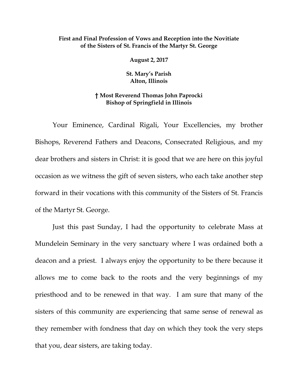## **First and Final Profession of Vows and Reception into the Novitiate of the Sisters of St. Francis of the Martyr St. George**

**August 2, 2017**

**St. Mary's Parish Alton, Illinois**

## **† Most Reverend Thomas John Paprocki Bishop of Springfield in Illinois**

Your Eminence, Cardinal Rigali, Your Excellencies, my brother Bishops, Reverend Fathers and Deacons, Consecrated Religious, and my dear brothers and sisters in Christ: it is good that we are here on this joyful occasion as we witness the gift of seven sisters, who each take another step forward in their vocations with this community of the Sisters of St. Francis of the Martyr St. George.

Just this past Sunday, I had the opportunity to celebrate Mass at Mundelein Seminary in the very sanctuary where I was ordained both a deacon and a priest. I always enjoy the opportunity to be there because it allows me to come back to the roots and the very beginnings of my priesthood and to be renewed in that way. I am sure that many of the sisters of this community are experiencing that same sense of renewal as they remember with fondness that day on which they took the very steps that you, dear sisters, are taking today.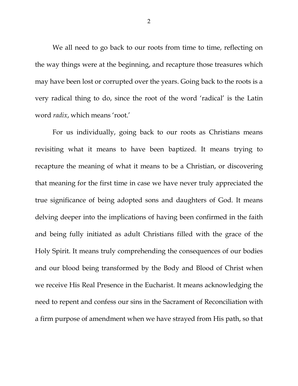We all need to go back to our roots from time to time, reflecting on the way things were at the beginning, and recapture those treasures which may have been lost or corrupted over the years. Going back to the roots is a very radical thing to do, since the root of the word 'radical' is the Latin word *radix*, which means 'root.'

For us individually, going back to our roots as Christians means revisiting what it means to have been baptized. It means trying to recapture the meaning of what it means to be a Christian, or discovering that meaning for the first time in case we have never truly appreciated the true significance of being adopted sons and daughters of God. It means delving deeper into the implications of having been confirmed in the faith and being fully initiated as adult Christians filled with the grace of the Holy Spirit. It means truly comprehending the consequences of our bodies and our blood being transformed by the Body and Blood of Christ when we receive His Real Presence in the Eucharist. It means acknowledging the need to repent and confess our sins in the Sacrament of Reconciliation with a firm purpose of amendment when we have strayed from His path, so that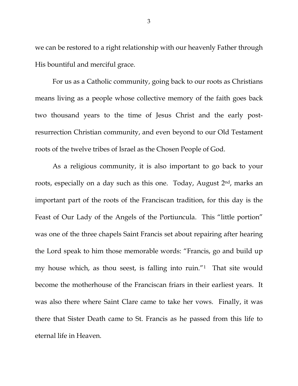we can be restored to a right relationship with our heavenly Father through His bountiful and merciful grace.

For us as a Catholic community, going back to our roots as Christians means living as a people whose collective memory of the faith goes back two thousand years to the time of Jesus Christ and the early postresurrection Christian community, and even beyond to our Old Testament roots of the twelve tribes of Israel as the Chosen People of God.

As a religious community, it is also important to go back to your roots, especially on a day such as this one. Today, August 2<sup>nd</sup>, marks an important part of the roots of the Franciscan tradition, for this day is the Feast of Our Lady of the Angels of the Portiuncula. This "little portion" was one of the three chapels Saint Francis set about repairing after hearing the Lord speak to him those memorable words: "Francis, go and build up my house which, as thou seest, is falling into ruin.<sup>"[1](#page-9-0)</sup> That site would become the motherhouse of the Franciscan friars in their earliest years. It was also there where Saint Clare came to take her vows. Finally, it was there that Sister Death came to St. Francis as he passed from this life to eternal life in Heaven.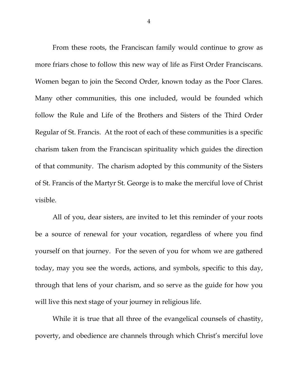From these roots, the Franciscan family would continue to grow as more friars chose to follow this new way of life as First Order Franciscans. Women began to join the Second Order, known today as the Poor Clares. Many other communities, this one included, would be founded which follow the Rule and Life of the Brothers and Sisters of the Third Order Regular of St. Francis. At the root of each of these communities is a specific charism taken from the Franciscan spirituality which guides the direction of that community. The charism adopted by this community of the Sisters of St. Francis of the Martyr St. George is to make the merciful love of Christ visible.

All of you, dear sisters, are invited to let this reminder of your roots be a source of renewal for your vocation, regardless of where you find yourself on that journey. For the seven of you for whom we are gathered today, may you see the words, actions, and symbols, specific to this day, through that lens of your charism, and so serve as the guide for how you will live this next stage of your journey in religious life.

While it is true that all three of the evangelical counsels of chastity, poverty, and obedience are channels through which Christ's merciful love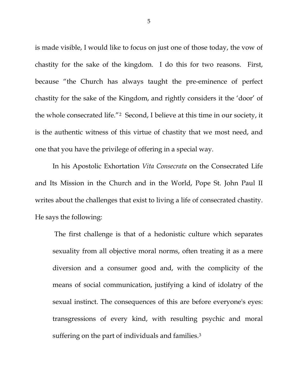is made visible, I would like to focus on just one of those today, the vow of chastity for the sake of the kingdom. I do this for two reasons. First, because "the Church has always taught the pre-eminence of perfect chastity for the sake of the Kingdom, and rightly considers it the 'door' of the whole consecrated life."[2](#page-9-1) Second, I believe at this time in our society, it is the authentic witness of this virtue of chastity that we most need, and one that you have the privilege of offering in a special way.

In his Apostolic Exhortation *Vita Consecrata* on the Consecrated Life and Its Mission in the Church and in the World, Pope St. John Paul II writes about the challenges that exist to living a life of consecrated chastity. He says the following:

The first challenge is that of a hedonistic culture which separates sexuality from all objective moral norms, often treating it as a mere diversion and a consumer good and, with the complicity of the means of social communication, justifying a kind of idolatry of the sexual instinct. The consequences of this are before everyone's eyes: transgressions of every kind, with resulting psychic and moral suffering on the part of individuals and families.<sup>[3](#page-9-2)</sup>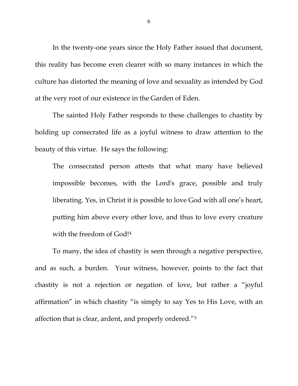In the twenty-one years since the Holy Father issued that document, this reality has become even clearer with so many instances in which the culture has distorted the meaning of love and sexuality as intended by God at the very root of our existence in the Garden of Eden.

The sainted Holy Father responds to these challenges to chastity by holding up consecrated life as a joyful witness to draw attention to the beauty of this virtue. He says the following:

The consecrated person attests that what many have believed impossible becomes, with the Lord's grace, possible and truly liberating. Yes, in Christ it is possible to love God with all one's heart, putting him above every other love, and thus to love every creature with the freedom of God![4](#page-9-3)

To many, the idea of chastity is seen through a negative perspective, and as such, a burden. Your witness, however, points to the fact that chastity is not a rejection or negation of love, but rather a "joyful affirmation" in which chastity "is simply to say Yes to His Love, with an affection that is clear, ardent, and properly ordered."[5](#page-9-4)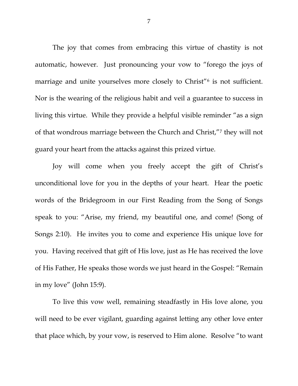The joy that comes from embracing this virtue of chastity is not automatic, however. Just pronouncing your vow to "forego the joys of marriage and unite yourselves more closely to Christ<sup>"[6](#page-9-5)</sup> is not sufficient. Nor is the wearing of the religious habit and veil a guarantee to success in living this virtue. While they provide a helpful visible reminder "as a sign of that wondrous marriage between the Church and Christ,"[7](#page-9-6) they will not guard your heart from the attacks against this prized virtue.

Joy will come when you freely accept the gift of Christ's unconditional love for you in the depths of your heart. Hear the poetic words of the Bridegroom in our First Reading from the Song of Songs speak to you: "Arise, my friend, my beautiful one, and come! (Song of Songs 2:10). He invites you to come and experience His unique love for you. Having received that gift of His love, just as He has received the love of His Father, He speaks those words we just heard in the Gospel: "Remain in my love" (John 15:9).

To live this vow well, remaining steadfastly in His love alone, you will need to be ever vigilant, guarding against letting any other love enter that place which, by your vow, is reserved to Him alone. Resolve "to want

7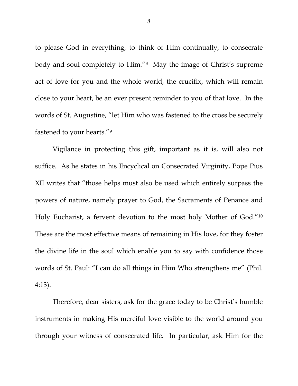to please God in everything, to think of Him continually, to consecrate body and soul completely to Him."[8](#page-9-7) May the image of Christ's supreme act of love for you and the whole world, the crucifix, which will remain close to your heart, be an ever present reminder to you of that love. In the words of St. Augustine, "let Him who was fastened to the cross be securely fastened to your hearts."[9](#page-9-8)

Vigilance in protecting this gift, important as it is, will also not suffice. As he states in his Encyclical on Consecrated Virginity, Pope Pius XII writes that "those helps must also be used which entirely surpass the powers of nature, namely prayer to God, the Sacraments of Penance and Holy Eucharist, a fervent devotion to the most holy Mother of God."[10](#page-9-9) These are the most effective means of remaining in His love, for they foster the divine life in the soul which enable you to say with confidence those words of St. Paul: "I can do all things in Him Who strengthens me" (Phil. 4:13).

Therefore, dear sisters, ask for the grace today to be Christ's humble instruments in making His merciful love visible to the world around you through your witness of consecrated life. In particular, ask Him for the

8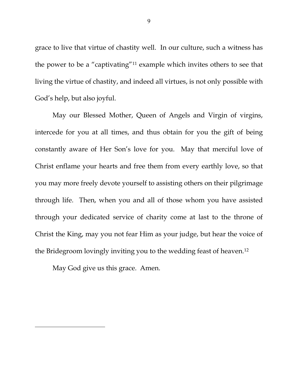grace to live that virtue of chastity well. In our culture, such a witness has the power to be a "captivating"[11](#page-9-10) example which invites others to see that living the virtue of chastity, and indeed all virtues, is not only possible with God's help, but also joyful.

May our Blessed Mother, Queen of Angels and Virgin of virgins, intercede for you at all times, and thus obtain for you the gift of being constantly aware of Her Son's love for you. May that merciful love of Christ enflame your hearts and free them from every earthly love, so that you may more freely devote yourself to assisting others on their pilgrimage through life. Then, when you and all of those whom you have assisted through your dedicated service of charity come at last to the throne of Christ the King, may you not fear Him as your judge, but hear the voice of the Bridegroom lovingly inviting you to the wedding feast of heaven.[12](#page-9-11)

May God give us this grace. Amen.

 $\overline{\phantom{a}}$